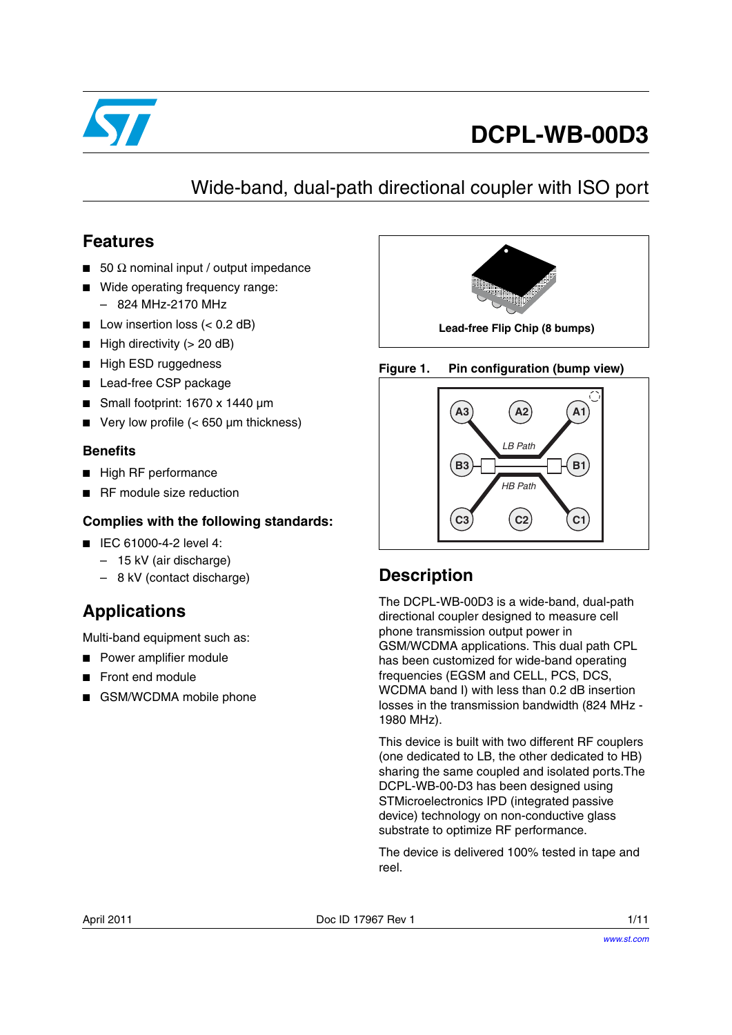

# **DCPL-WB-00D3**

## Wide-band, dual-path directional coupler with ISO port

### **Features**

- 50  $Ω$  nominal input / output impedance
- Wide operating frequency range:
	- 824 MHz-2170 MHz
- Low insertion loss (< 0.2 dB)
- High directivity (> 20 dB)
- High ESD ruggedness
- Lead-free CSP package
- Small footprint: 1670 x 1440 µm
- Very low profile (< 650 µm thickness)

### **Benefits**

- High RF performance
- RF module size reduction

### **Complies with the following standards:**

- IEC 61000-4-2 level 4:
	- 15 kV (air discharge)
	- 8 kV (contact discharge)

## **Applications**

Multi-band equipment such as:

- Power amplifier module
- Front end module
- GSM/WCDMA mobile phone



### **Figure 1. Pin configuration (bump view)**



## **Description**

The DCPL-WB-00D3 is a wide-band, dual-path directional coupler designed to measure cell phone transmission output power in GSM/WCDMA applications. This dual path CPL has been customized for wide-band operating frequencies (EGSM and CELL, PCS, DCS, WCDMA band I) with less than 0.2 dB insertion losses in the transmission bandwidth (824 MHz - 1980 MHz).

This device is built with two different RF couplers (one dedicated to LB, the other dedicated to HB) sharing the same coupled and isolated ports.The DCPL-WB-00-D3 has been designed using STMicroelectronics IPD (integrated passive device) technology on non-conductive glass substrate to optimize RF performance.

The device is delivered 100% tested in tape and reel.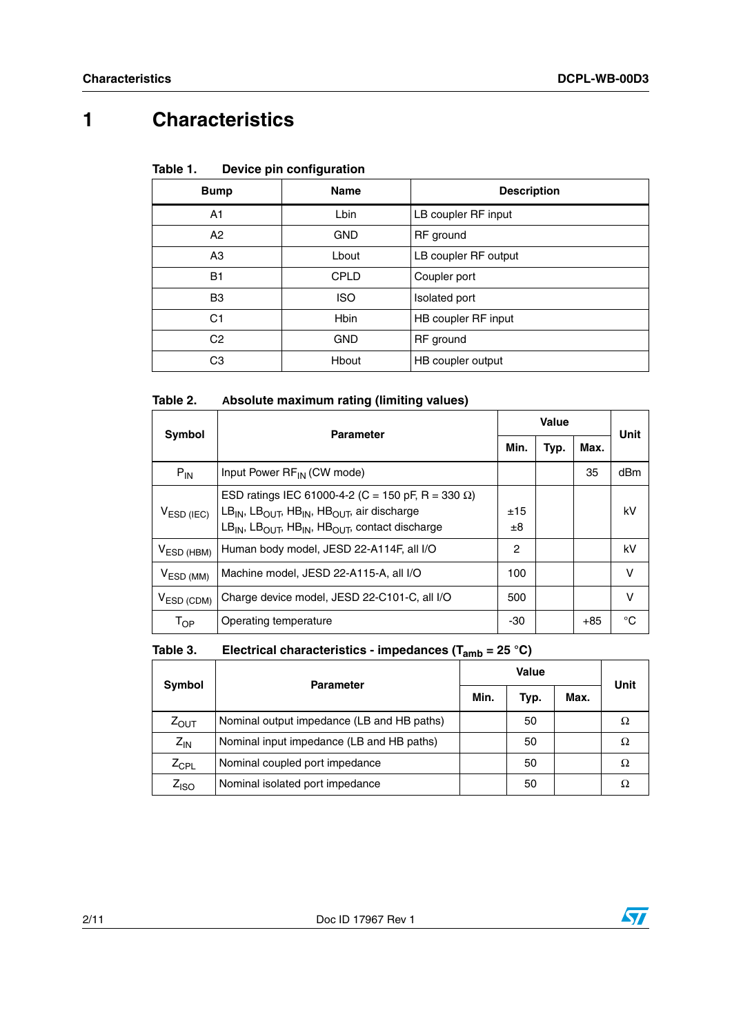# **1 Characteristics**

#### Table 1. **Device pin configuration**

| <b>Bump</b>    | <b>Name</b> | <b>Description</b>   |
|----------------|-------------|----------------------|
| A1             | Lbin        | LB coupler RF input  |
| A2             | <b>GND</b>  | RF ground            |
| A <sub>3</sub> | Lbout       | LB coupler RF output |
| <b>B1</b>      | CPLD        | Coupler port         |
| B <sub>3</sub> | <b>ISO</b>  | Isolated port        |
| C1             | <b>Hbin</b> | HB coupler RF input  |
| C <sub>2</sub> | <b>GND</b>  | RF ground            |
| CЗ             | Hbout       | HB coupler output    |

#### Table 2. **Table 2. Absolute maximum rating (limiting values)**

| Symbol                     | <b>Parameter</b>                                                                                                                                                                                                                              |           | Value |       |      |
|----------------------------|-----------------------------------------------------------------------------------------------------------------------------------------------------------------------------------------------------------------------------------------------|-----------|-------|-------|------|
|                            |                                                                                                                                                                                                                                               | Min.      | Typ.  | Max.  | Unit |
| $P_{IN}$                   | Input Power RF <sub>IN</sub> (CW mode)                                                                                                                                                                                                        |           |       | 35    | dBm  |
| V <sub>ESD (IEC)</sub>     | ESD ratings IEC 61000-4-2 (C = 150 pF, R = 330 $\Omega$ )<br>$LB_{IN}$ , LB <sub>OUT</sub> , HB <sub>IN</sub> , HB <sub>OUT</sub> , air discharge<br>$LB_{IN}$ , LB <sub>OUT</sub> , HB <sub>IN</sub> , HB <sub>OUT</sub> , contact discharge | ±15<br>±8 |       |       | kV   |
| $VESD$ (HBM)               | Human body model, JESD 22-A114F, all I/O                                                                                                                                                                                                      | 2         |       |       | kV   |
| $V_{ESD(MM)}$              | Machine model, JESD 22-A115-A, all I/O                                                                                                                                                                                                        | 100       |       |       | v    |
| $VESD$ (CDM)               | Charge device model, JESD 22-C101-C, all I/O                                                                                                                                                                                                  | 500       |       |       | v    |
| $\mathsf{T}_{\mathsf{OP}}$ | Operating temperature                                                                                                                                                                                                                         | -30       |       | $+85$ | °C   |

#### Table 3. **Electrical characteristics - impedances (T<sub>amb</sub> = 25 °C)**

| Symbol           | <b>Parameter</b>                           |      | Value |      | Unit |
|------------------|--------------------------------------------|------|-------|------|------|
|                  |                                            | Min. | Typ.  | Max. |      |
| $Z_{\text{OUT}}$ | Nominal output impedance (LB and HB paths) |      | 50    |      |      |
| $Z_{IN}$         | Nominal input impedance (LB and HB paths)  |      | 50    |      | Ω    |
| $Z_{\rm CPL}$    | Nominal coupled port impedance             |      | 50    |      | Ω    |
| $Z_{\text{ISO}}$ | Nominal isolated port impedance            |      | 50    |      |      |

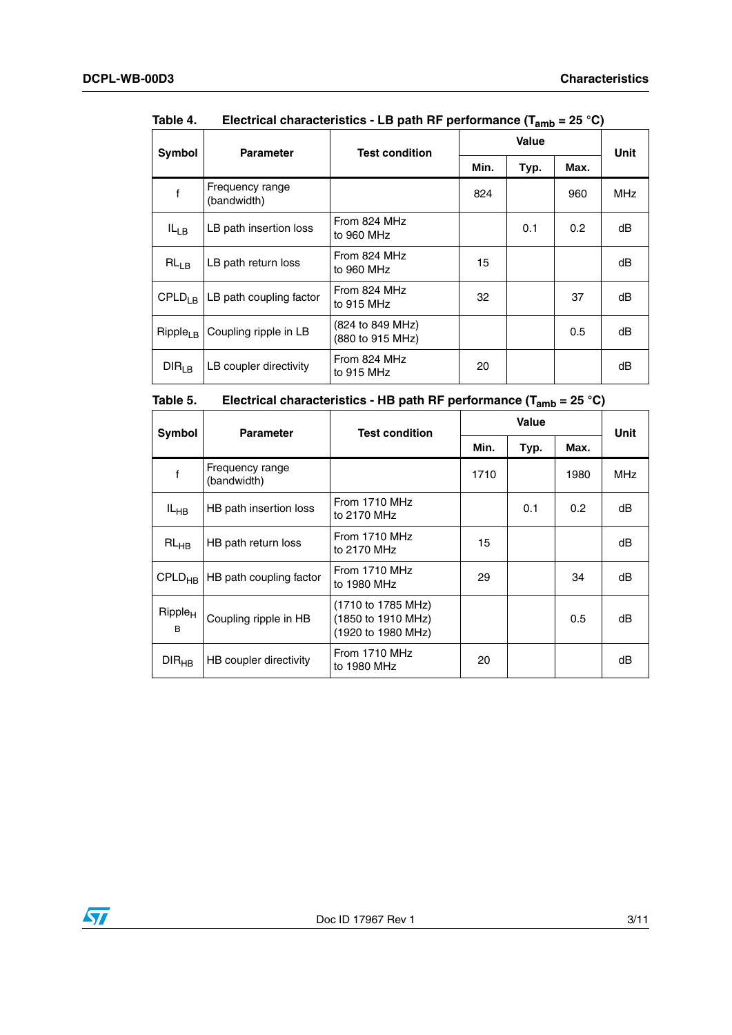|                      |                                |                                      |      | 1 anno<br><b>Value</b> |      |             |
|----------------------|--------------------------------|--------------------------------------|------|------------------------|------|-------------|
| Symbol               | <b>Parameter</b>               | <b>Test condition</b>                | Min. | Typ.                   | Max. | <b>Unit</b> |
|                      | Frequency range<br>(bandwidth) |                                      | 824  |                        | 960  | <b>MHz</b>  |
| $IL_{LB}$            | LB path insertion loss         | From 824 MHz<br>to 960 MHz           |      | 0.1                    | 0.2  | dB          |
| $RL_{LB}$            | LB path return loss            | From 824 MHz<br>to 960 MHz           | 15   |                        |      | dB          |
| CPLD <sub>1 B</sub>  | LB path coupling factor        | From 824 MHz<br>to 915 MHz           | 32   |                        | 37   | dB          |
| Ripple <sub>LB</sub> | Coupling ripple in LB          | (824 to 849 MHz)<br>(880 to 915 MHz) |      |                        | 0.5  | dB          |
| DIR <sub>LB</sub>    | LB coupler directivity         | From 824 MHz<br>to 915 MHz           | 20   |                        |      | dB          |

| Table 4. | Electrical characteristics - LB path RF performance ( $T_{amb}$ = 25 °C) |
|----------|--------------------------------------------------------------------------|
|          |                                                                          |

| Table 5. | Electrical characteristics - HB path RF performance ( $T_{amb}$ = 25 °C) |  |  |  |  |
|----------|--------------------------------------------------------------------------|--|--|--|--|
|----------|--------------------------------------------------------------------------|--|--|--|--|

| Symbol                   | <b>Parameter</b>               | <b>Test condition</b>                                          | Value |      |               | Unit       |
|--------------------------|--------------------------------|----------------------------------------------------------------|-------|------|---------------|------------|
|                          |                                |                                                                | Min.  | Typ. | Max.          |            |
| f                        | Frequency range<br>(bandwidth) |                                                                | 1710  |      | 1980          | <b>MHz</b> |
| $IL_{HB}$                | HB path insertion loss         | From 1710 MHz<br>to 2170 MHz                                   |       | 0.1  | $0.2^{\circ}$ | dB         |
| $RL_{HB}$                | HB path return loss            | From 1710 MHz<br>to 2170 MHz                                   | 15    |      |               | dB         |
| $CPLD_{HR}$              | HB path coupling factor        | <b>From 1710 MHz</b><br>to 1980 MHz                            | 29    |      | 34            | dB         |
| Ripple <sub>H</sub><br>B | Coupling ripple in HB          | (1710 to 1785 MHz)<br>(1850 to 1910 MHz)<br>(1920 to 1980 MHz) |       |      | 0.5           | dB         |
| $DIR_{HB}$               | HB coupler directivity         | From 1710 MHz<br>to 1980 MHz                                   | 20    |      |               | dB         |

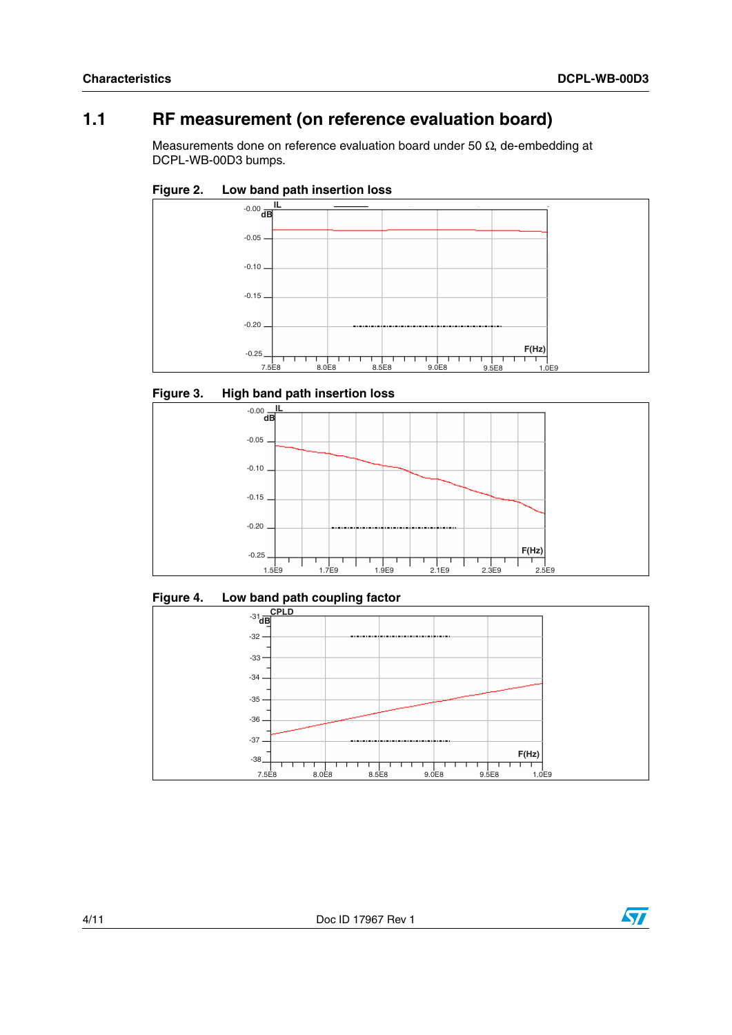## **1.1 RF measurement (on reference evaluation board)**

Measurements done on reference evaluation board under 50  $\Omega$ , de-embedding at DCPL-WB-00D3 bumps.





### **Figure 3. High band path insertion loss**



### **Figure 4. Low band path coupling factor**





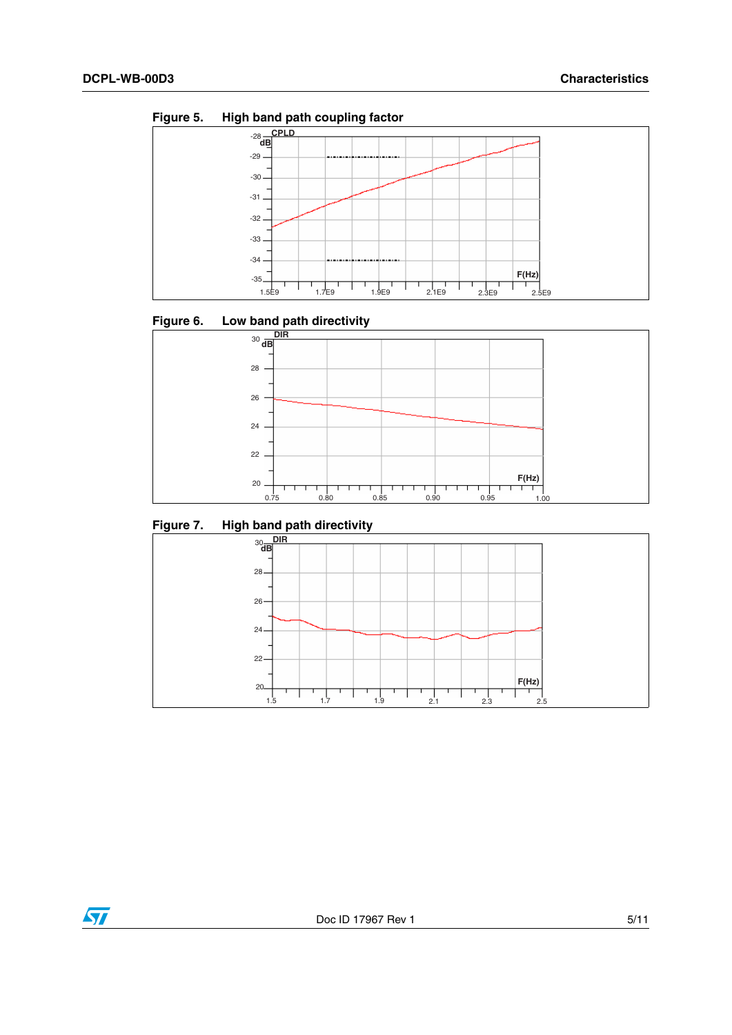

**Figure 5. High band path coupling factor**





**Figure 7. High band path directivity**



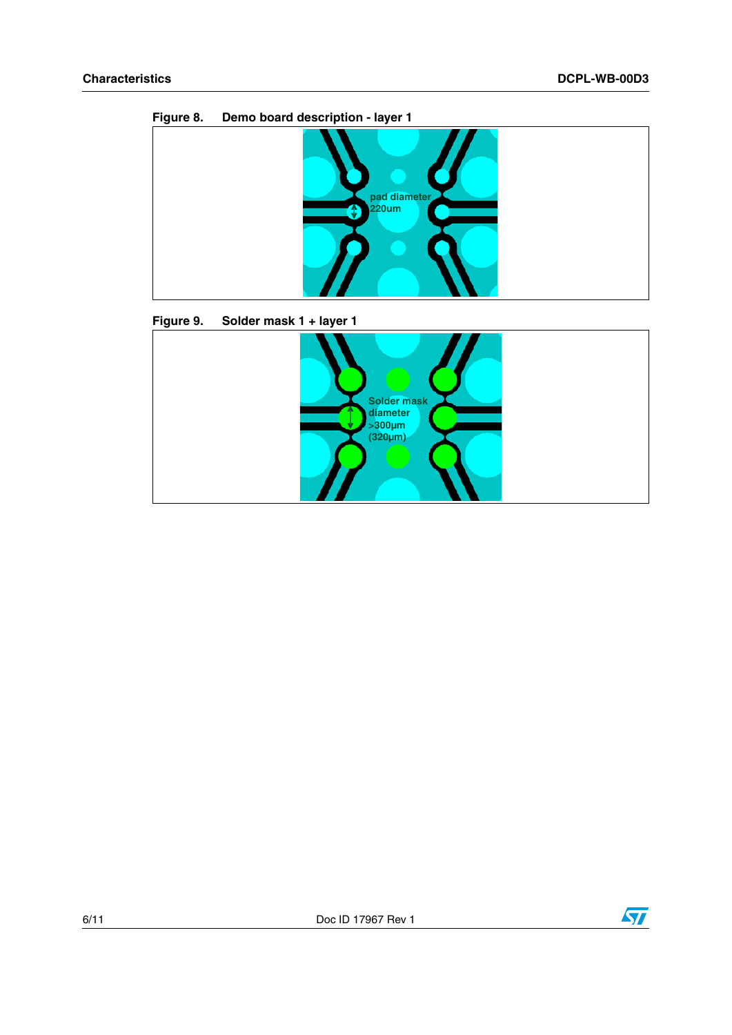

**Figure 9. Solder mask 1 + layer 1**



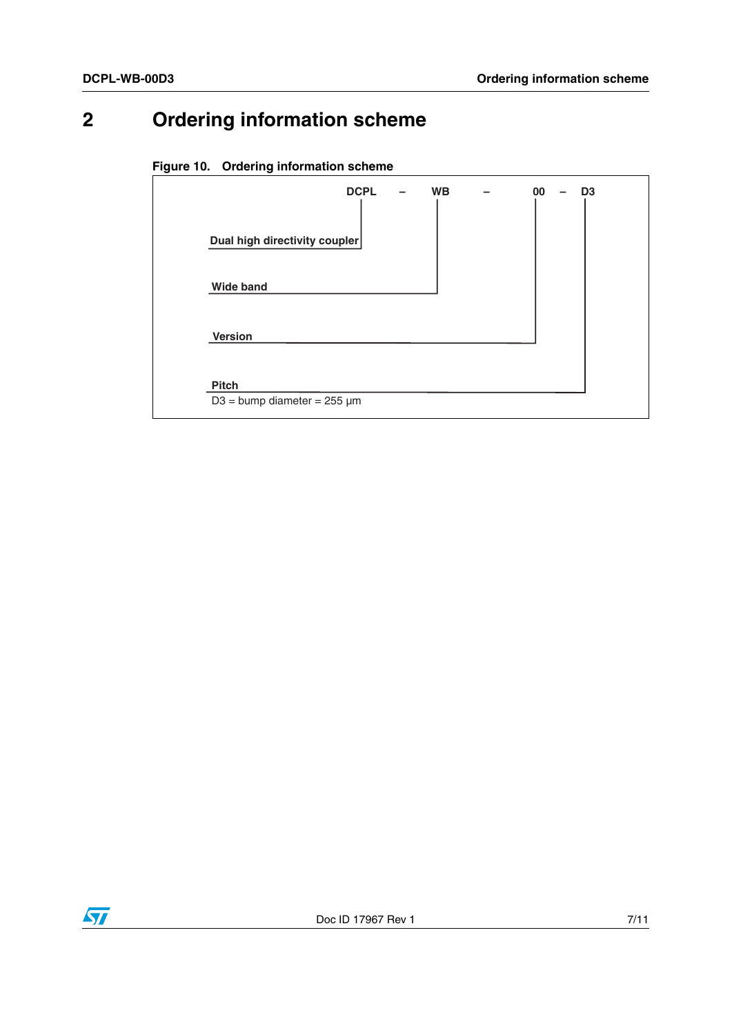# **2 Ordering information scheme**

### **Figure 10. Ordering information scheme**

| Dual high directivity coupler<br><b>Wide band</b> | <b>Version</b> | <b>DCPL</b> | <b>WB</b> | 00 | D <sub>3</sub> |
|---------------------------------------------------|----------------|-------------|-----------|----|----------------|
|                                                   |                |             |           |    |                |
|                                                   |                |             |           |    |                |
|                                                   |                |             |           |    |                |

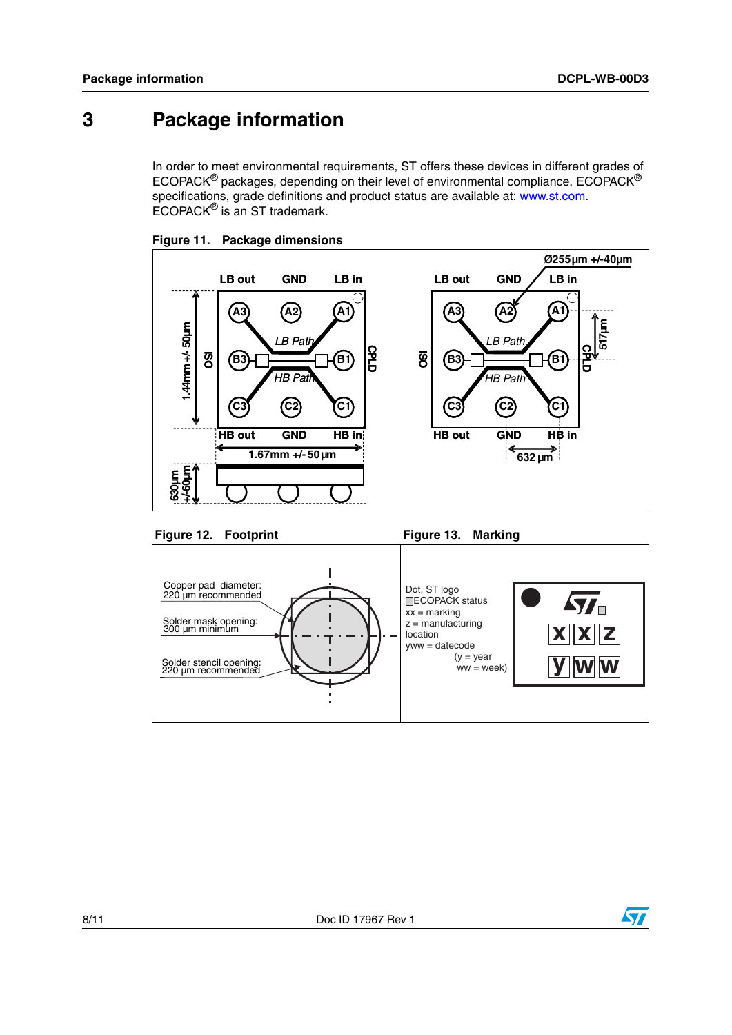## **3 Package information**

In order to meet environmental requirements, ST offers these devices in different grades of ECOPACK® packages, depending on their level of environmental compliance. ECOPACK® specifications, grade definitions and product status are available at: [www.st.com](http://www.st.com). ECOPACK® is an ST trademark.







Figure 12. Footprint Figure 13. Marking



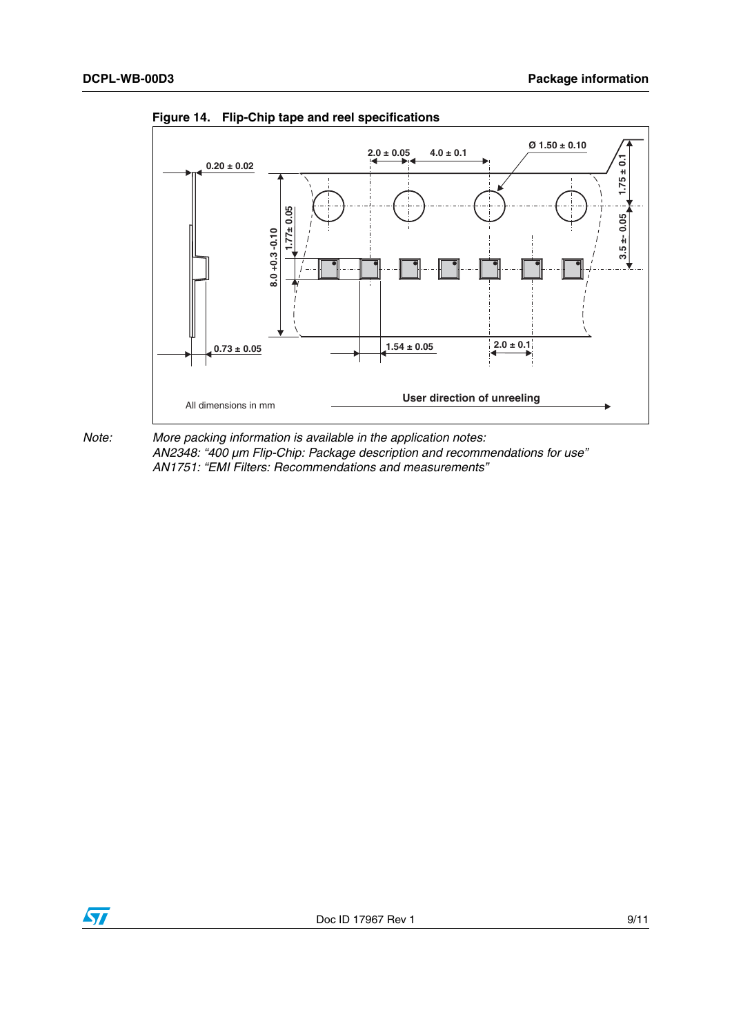

**Figure 14. Flip-Chip tape and reel specifications**

*Note: More packing information is available in the application notes: AN2348: "400 µm Flip-Chip: Package description and recommendations for use" AN1751: "EMI Filters: Recommendations and measurements"*

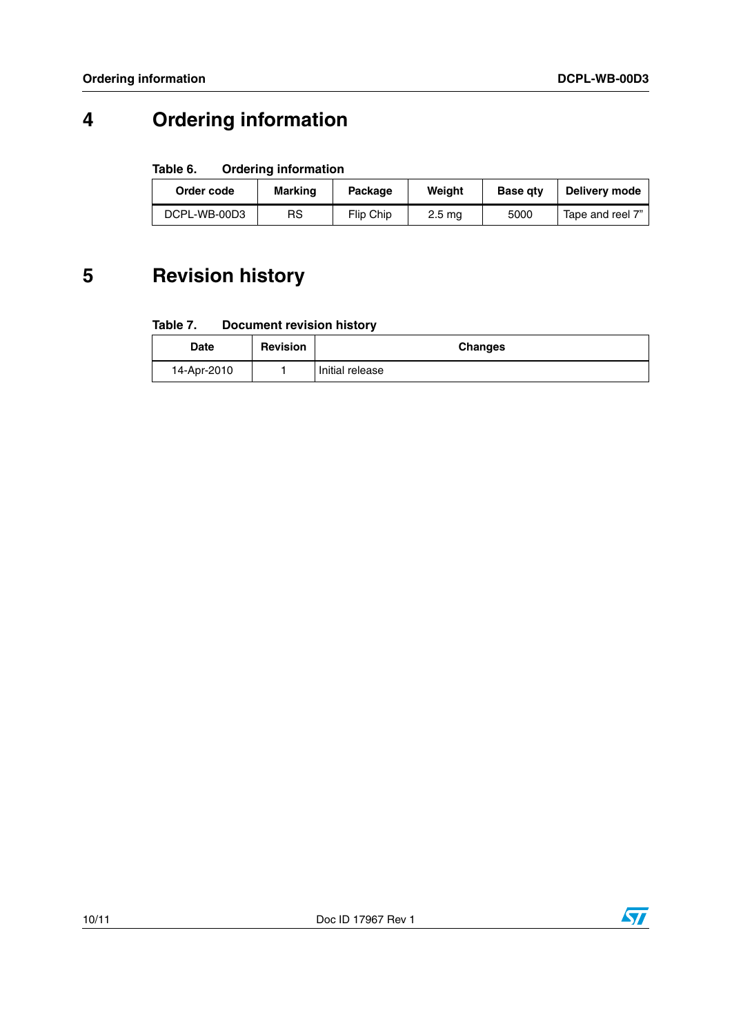# **4 Ordering information**

#### Table 6. **Ordering information**

| Order code   | Marking | Package   | Weight | <b>Base atv</b> | Delivery mode    |
|--------------|---------|-----------|--------|-----------------|------------------|
| DCPL-WB-00D3 | RS      | Flip Chip | 2.5 ma | 5000            | Tape and reel 7" |

## **5 Revision history**

#### Table 7. **Document revision history**

| <b>Date</b> | <b>Revision</b> | <b>Changes</b>  |
|-------------|-----------------|-----------------|
| 14-Apr-2010 |                 | Initial release |

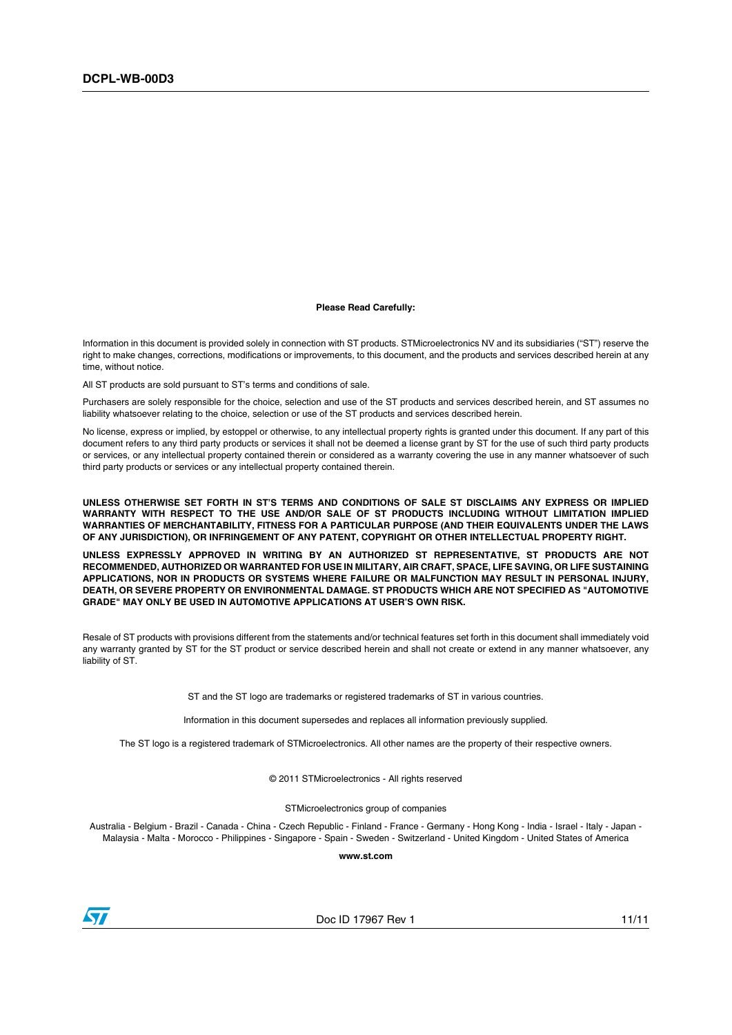#### **Please Read Carefully:**

Information in this document is provided solely in connection with ST products. STMicroelectronics NV and its subsidiaries ("ST") reserve the right to make changes, corrections, modifications or improvements, to this document, and the products and services described herein at any time, without notice.

All ST products are sold pursuant to ST's terms and conditions of sale.

Purchasers are solely responsible for the choice, selection and use of the ST products and services described herein, and ST assumes no liability whatsoever relating to the choice, selection or use of the ST products and services described herein.

No license, express or implied, by estoppel or otherwise, to any intellectual property rights is granted under this document. If any part of this document refers to any third party products or services it shall not be deemed a license grant by ST for the use of such third party products or services, or any intellectual property contained therein or considered as a warranty covering the use in any manner whatsoever of such third party products or services or any intellectual property contained therein.

**UNLESS OTHERWISE SET FORTH IN ST'S TERMS AND CONDITIONS OF SALE ST DISCLAIMS ANY EXPRESS OR IMPLIED WARRANTY WITH RESPECT TO THE USE AND/OR SALE OF ST PRODUCTS INCLUDING WITHOUT LIMITATION IMPLIED WARRANTIES OF MERCHANTABILITY, FITNESS FOR A PARTICULAR PURPOSE (AND THEIR EQUIVALENTS UNDER THE LAWS OF ANY JURISDICTION), OR INFRINGEMENT OF ANY PATENT, COPYRIGHT OR OTHER INTELLECTUAL PROPERTY RIGHT.**

**UNLESS EXPRESSLY APPROVED IN WRITING BY AN AUTHORIZED ST REPRESENTATIVE, ST PRODUCTS ARE NOT RECOMMENDED, AUTHORIZED OR WARRANTED FOR USE IN MILITARY, AIR CRAFT, SPACE, LIFE SAVING, OR LIFE SUSTAINING APPLICATIONS, NOR IN PRODUCTS OR SYSTEMS WHERE FAILURE OR MALFUNCTION MAY RESULT IN PERSONAL INJURY, DEATH, OR SEVERE PROPERTY OR ENVIRONMENTAL DAMAGE. ST PRODUCTS WHICH ARE NOT SPECIFIED AS "AUTOMOTIVE GRADE" MAY ONLY BE USED IN AUTOMOTIVE APPLICATIONS AT USER'S OWN RISK.**

Resale of ST products with provisions different from the statements and/or technical features set forth in this document shall immediately void any warranty granted by ST for the ST product or service described herein and shall not create or extend in any manner whatsoever, any liability of ST.

ST and the ST logo are trademarks or registered trademarks of ST in various countries.

Information in this document supersedes and replaces all information previously supplied.

The ST logo is a registered trademark of STMicroelectronics. All other names are the property of their respective owners.

© 2011 STMicroelectronics - All rights reserved

STMicroelectronics group of companies

Australia - Belgium - Brazil - Canada - China - Czech Republic - Finland - France - Germany - Hong Kong - India - Israel - Italy - Japan - Malaysia - Malta - Morocco - Philippines - Singapore - Spain - Sweden - Switzerland - United Kingdom - United States of America

**www.st.com**



Doc ID 17967 Rev 1 11/11